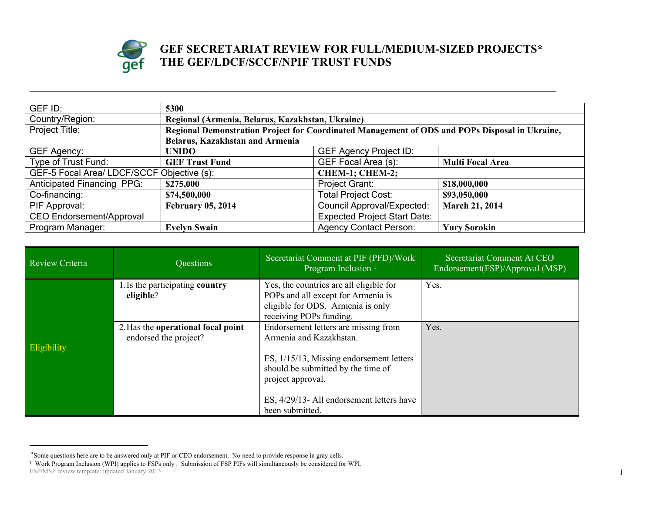

## **GEF SECRETARIAT REVIEW FOR FULL/MEDIUM-SIZED PROJECTS\* THE GEF/LDCF/SCCF/NPIF TRUST FUNDS**

| GEF ID:                                                       | 5300                                                                                           |                                                  |                         |  |
|---------------------------------------------------------------|------------------------------------------------------------------------------------------------|--------------------------------------------------|-------------------------|--|
| Country/Region:                                               |                                                                                                | Regional (Armenia, Belarus, Kazakhstan, Ukraine) |                         |  |
| Project Title:                                                | Regional Demonstration Project for Coordinated Management of ODS and POPs Disposal in Ukraine, |                                                  |                         |  |
|                                                               | <b>Belarus, Kazakhstan and Armenia</b>                                                         |                                                  |                         |  |
| GEF Agency:                                                   | <b>UNIDO</b>                                                                                   | <b>GEF Agency Project ID:</b>                    |                         |  |
| Type of Trust Fund:                                           | <b>GEF Trust Fund</b>                                                                          | GEF Focal Area (s):                              | <b>Multi Focal Area</b> |  |
| GEF-5 Focal Area/ LDCF/SCCF Objective (s):<br>CHEM-1; CHEM-2; |                                                                                                |                                                  |                         |  |
| Anticipated Financing PPG:                                    | \$275,000                                                                                      | Project Grant:                                   | \$18,000,000            |  |
| Co-financing:                                                 | \$74,500,000                                                                                   | <b>Total Project Cost:</b>                       | \$93,050,000            |  |
| PIF Approval:                                                 | <b>February 05, 2014</b>                                                                       | <b>Council Approval/Expected:</b>                | <b>March 21, 2014</b>   |  |
| <b>CEO Endorsement/Approval</b>                               |                                                                                                | <b>Expected Project Start Date:</b>              |                         |  |
| Program Manager:                                              | <b>Evelyn Swain</b>                                                                            | <b>Agency Contact Person:</b>                    | <b>Yury Sorokin</b>     |  |

**\_\_\_\_\_\_\_\_\_\_\_\_\_\_\_\_\_\_\_\_\_\_\_\_\_\_\_\_\_\_\_\_\_\_\_\_\_\_\_\_\_\_\_\_\_\_\_\_\_\_\_\_\_\_\_\_\_\_\_\_\_\_\_\_\_\_\_\_\_\_\_\_\_\_\_\_\_\_\_\_\_\_\_\_\_\_\_\_\_\_\_\_\_\_\_\_\_\_\_\_\_\_\_\_\_\_\_\_\_\_\_\_\_\_\_\_**

| Review Criteria | Questions                                                   | Secretariat Comment at PIF (PFD)/Work<br>Program Inclusion <sup>1</sup>                                                                                                                                                                | Secretariat Comment At CEO<br>Endorsement(FSP)/Approval (MSP) |
|-----------------|-------------------------------------------------------------|----------------------------------------------------------------------------------------------------------------------------------------------------------------------------------------------------------------------------------------|---------------------------------------------------------------|
|                 | 1. Is the participating country<br>eligible?                | Yes, the countries are all eligible for<br>POPs and all except for Armenia is<br>eligible for ODS. Armenia is only<br>receiving POPs funding.                                                                                          | Yes.                                                          |
| Eligibility     | 2. Has the operational focal point<br>endorsed the project? | Endorsement letters are missing from<br>Armenia and Kazakhstan.<br>ES, 1/15/13, Missing endorsement letters<br>should be submitted by the time of<br>project approval.<br>ES, 4/29/13- All endorsement letters have<br>been submitted. | Yes.                                                          |

<sup>\*</sup>Some questions here are to be answered only at PIF or CEO endorsement. No need to provide response in gray cells.

FSP/MSP review template: updated January 2013 1 1 Work Program Inclusion (WPI) applies to FSPs only . Submission of FSP PIFs will simultaneously be considered for WPI.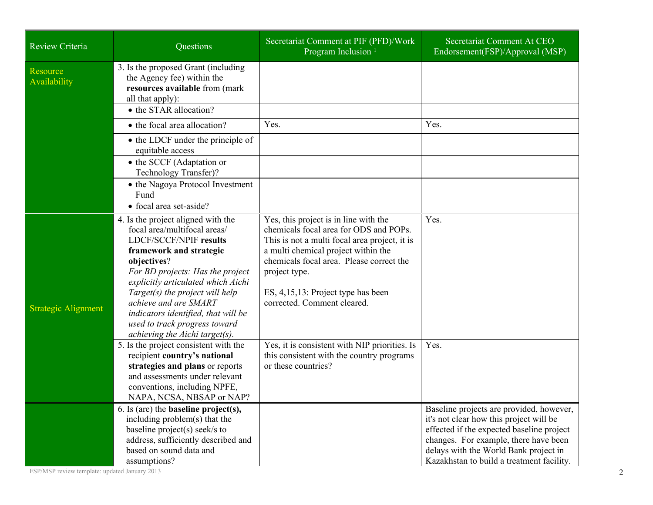| Review Criteria            | Questions                                                                                                                                                                                                                                                                                                                                                                              | Secretariat Comment at PIF (PFD)/Work<br>Program Inclusion <sup>1</sup>                                                                                                                                                                                                                                   | Secretariat Comment At CEO<br>Endorsement(FSP)/Approval (MSP)                                                                                                                                                                                                   |
|----------------------------|----------------------------------------------------------------------------------------------------------------------------------------------------------------------------------------------------------------------------------------------------------------------------------------------------------------------------------------------------------------------------------------|-----------------------------------------------------------------------------------------------------------------------------------------------------------------------------------------------------------------------------------------------------------------------------------------------------------|-----------------------------------------------------------------------------------------------------------------------------------------------------------------------------------------------------------------------------------------------------------------|
| Resource<br>Availability   | 3. Is the proposed Grant (including<br>the Agency fee) within the<br>resources available from (mark<br>all that apply):<br>• the STAR allocation?                                                                                                                                                                                                                                      |                                                                                                                                                                                                                                                                                                           |                                                                                                                                                                                                                                                                 |
|                            | • the focal area allocation?                                                                                                                                                                                                                                                                                                                                                           | Yes.                                                                                                                                                                                                                                                                                                      | Yes.                                                                                                                                                                                                                                                            |
|                            | • the LDCF under the principle of<br>equitable access                                                                                                                                                                                                                                                                                                                                  |                                                                                                                                                                                                                                                                                                           |                                                                                                                                                                                                                                                                 |
|                            | • the SCCF (Adaptation or<br>Technology Transfer)?                                                                                                                                                                                                                                                                                                                                     |                                                                                                                                                                                                                                                                                                           |                                                                                                                                                                                                                                                                 |
|                            | • the Nagoya Protocol Investment<br>Fund                                                                                                                                                                                                                                                                                                                                               |                                                                                                                                                                                                                                                                                                           |                                                                                                                                                                                                                                                                 |
|                            | • focal area set-aside?                                                                                                                                                                                                                                                                                                                                                                |                                                                                                                                                                                                                                                                                                           |                                                                                                                                                                                                                                                                 |
| <b>Strategic Alignment</b> | 4. Is the project aligned with the<br>focal area/multifocal areas/<br>LDCF/SCCF/NPIF results<br>framework and strategic<br>objectives?<br>For BD projects: Has the project<br>explicitly articulated which Aichi<br>Target(s) the project will help<br>achieve and are SMART<br>indicators identified, that will be<br>used to track progress toward<br>achieving the Aichi target(s). | Yes, this project is in line with the<br>chemicals focal area for ODS and POPs.<br>This is not a multi focal area project, it is<br>a multi chemical project within the<br>chemicals focal area. Please correct the<br>project type.<br>ES, 4,15,13: Project type has been<br>corrected. Comment cleared. | Yes.                                                                                                                                                                                                                                                            |
|                            | 5. Is the project consistent with the<br>recipient country's national<br>strategies and plans or reports<br>and assessments under relevant<br>conventions, including NPFE,<br>NAPA, NCSA, NBSAP or NAP?                                                                                                                                                                                | Yes, it is consistent with NIP priorities. Is<br>this consistent with the country programs<br>or these countries?                                                                                                                                                                                         | Yes.                                                                                                                                                                                                                                                            |
|                            | 6. Is (are) the <b>baseline</b> $project(s)$ ,<br>including problem(s) that the<br>baseline project(s) seek/s to<br>address, sufficiently described and<br>based on sound data and<br>assumptions?                                                                                                                                                                                     |                                                                                                                                                                                                                                                                                                           | Baseline projects are provided, however,<br>it's not clear how this project will be<br>effected if the expected baseline project<br>changes. For example, there have been<br>delays with the World Bank project in<br>Kazakhstan to build a treatment facility. |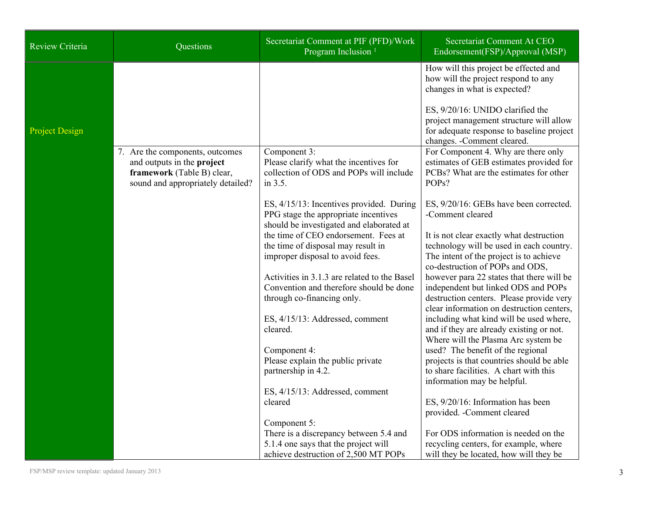| <b>Review Criteria</b> | Questions                                                                                                                        | Secretariat Comment at PIF (PFD)/Work<br>Program Inclusion <sup>1</sup>                                                                | Secretariat Comment At CEO<br>Endorsement(FSP)/Approval (MSP)                                                                                                             |
|------------------------|----------------------------------------------------------------------------------------------------------------------------------|----------------------------------------------------------------------------------------------------------------------------------------|---------------------------------------------------------------------------------------------------------------------------------------------------------------------------|
|                        |                                                                                                                                  |                                                                                                                                        | How will this project be effected and<br>how will the project respond to any<br>changes in what is expected?                                                              |
| <b>Project Design</b>  |                                                                                                                                  |                                                                                                                                        | ES, 9/20/16: UNIDO clarified the<br>project management structure will allow<br>for adequate response to baseline project<br>changes. - Comment cleared.                   |
|                        | 7. Are the components, outcomes<br>and outputs in the project<br>framework (Table B) clear,<br>sound and appropriately detailed? | Component 3:<br>Please clarify what the incentives for<br>collection of ODS and POPs will include<br>in 3.5.                           | For Component 4. Why are there only<br>estimates of GEB estimates provided for<br>PCBs? What are the estimates for other<br>POP <sub>s</sub> ?                            |
|                        |                                                                                                                                  | ES, 4/15/13: Incentives provided. During<br>PPG stage the appropriate incentives<br>should be investigated and elaborated at           | ES, 9/20/16: GEBs have been corrected.<br>-Comment cleared                                                                                                                |
|                        |                                                                                                                                  | the time of CEO endorsement. Fees at<br>the time of disposal may result in<br>improper disposal to avoid fees.                         | It is not clear exactly what destruction<br>technology will be used in each country.<br>The intent of the project is to achieve<br>co-destruction of POPs and ODS,        |
|                        |                                                                                                                                  | Activities in 3.1.3 are related to the Basel<br>Convention and therefore should be done<br>through co-financing only.                  | however para 22 states that there will be<br>independent but linked ODS and POPs<br>destruction centers. Please provide very<br>clear information on destruction centers, |
|                        |                                                                                                                                  | ES, 4/15/13: Addressed, comment<br>cleared.                                                                                            | including what kind will be used where,<br>and if they are already existing or not.<br>Where will the Plasma Arc system be                                                |
|                        |                                                                                                                                  | Component 4:<br>Please explain the public private<br>partnership in 4.2.                                                               | used? The benefit of the regional<br>projects is that countries should be able<br>to share facilities. A chart with this<br>information may be helpful.                   |
|                        |                                                                                                                                  | ES, 4/15/13: Addressed, comment<br>cleared                                                                                             | ES, 9/20/16: Information has been<br>provided. - Comment cleared                                                                                                          |
|                        |                                                                                                                                  | Component 5:<br>There is a discrepancy between 5.4 and<br>5.1.4 one says that the project will<br>achieve destruction of 2,500 MT POPs | For ODS information is needed on the<br>recycling centers, for example, where<br>will they be located, how will they be                                                   |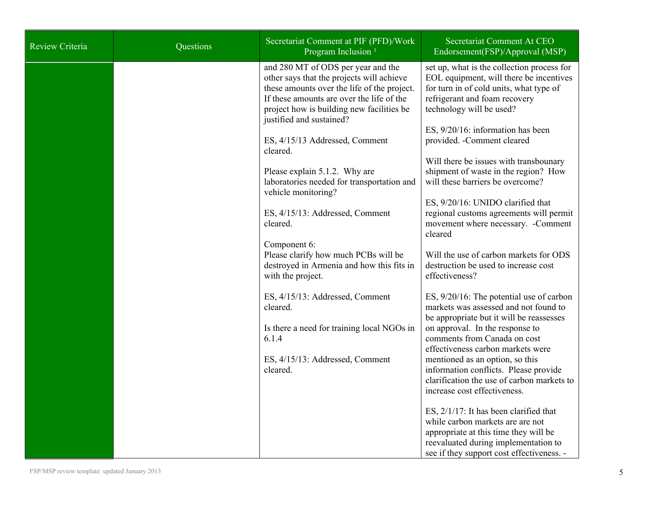| <b>Review Criteria</b> | Questions | Secretariat Comment at PIF (PFD)/Work<br>Program Inclusion <sup>1</sup>                                                                                                                                                                                                                                                                                                                                                                                                                                                                                                                                                                                                                                                                | Secretariat Comment At CEO<br>Endorsement(FSP)/Approval (MSP)                                                                                                                                                                                                                                                                                                                                                                                                                                                                                                                                                                                                                                                                                                                                                                                                                                                                                                                                                                                                                                                                                                                                                                                |
|------------------------|-----------|----------------------------------------------------------------------------------------------------------------------------------------------------------------------------------------------------------------------------------------------------------------------------------------------------------------------------------------------------------------------------------------------------------------------------------------------------------------------------------------------------------------------------------------------------------------------------------------------------------------------------------------------------------------------------------------------------------------------------------------|----------------------------------------------------------------------------------------------------------------------------------------------------------------------------------------------------------------------------------------------------------------------------------------------------------------------------------------------------------------------------------------------------------------------------------------------------------------------------------------------------------------------------------------------------------------------------------------------------------------------------------------------------------------------------------------------------------------------------------------------------------------------------------------------------------------------------------------------------------------------------------------------------------------------------------------------------------------------------------------------------------------------------------------------------------------------------------------------------------------------------------------------------------------------------------------------------------------------------------------------|
|                        |           | and 280 MT of ODS per year and the<br>other says that the projects will achieve<br>these amounts over the life of the project.<br>If these amounts are over the life of the<br>project how is building new facilities be<br>justified and sustained?<br>ES, 4/15/13 Addressed, Comment<br>cleared.<br>Please explain 5.1.2. Why are<br>laboratories needed for transportation and<br>vehicle monitoring?<br>ES, 4/15/13: Addressed, Comment<br>cleared.<br>Component 6:<br>Please clarify how much PCBs will be<br>destroyed in Armenia and how this fits in<br>with the project.<br>ES, 4/15/13: Addressed, Comment<br>cleared.<br>Is there a need for training local NGOs in<br>6.1.4<br>ES, 4/15/13: Addressed, Comment<br>cleared. | set up, what is the collection process for<br>EOL equipment, will there be incentives<br>for turn in of cold units, what type of<br>refrigerant and foam recovery<br>technology will be used?<br>ES, 9/20/16: information has been<br>provided. - Comment cleared<br>Will there be issues with transbounary<br>shipment of waste in the region? How<br>will these barriers be overcome?<br>ES, 9/20/16: UNIDO clarified that<br>regional customs agreements will permit<br>movement where necessary. - Comment<br>cleared<br>Will the use of carbon markets for ODS<br>destruction be used to increase cost<br>effectiveness?<br>ES, 9/20/16: The potential use of carbon<br>markets was assessed and not found to<br>be appropriate but it will be reassesses<br>on approval. In the response to<br>comments from Canada on cost<br>effectiveness carbon markets were<br>mentioned as an option, so this<br>information conflicts. Please provide<br>clarification the use of carbon markets to<br>increase cost effectiveness.<br>ES, 2/1/17: It has been clarified that<br>while carbon markets are are not<br>appropriate at this time they will be<br>reevaluated during implementation to<br>see if they support cost effectiveness. - |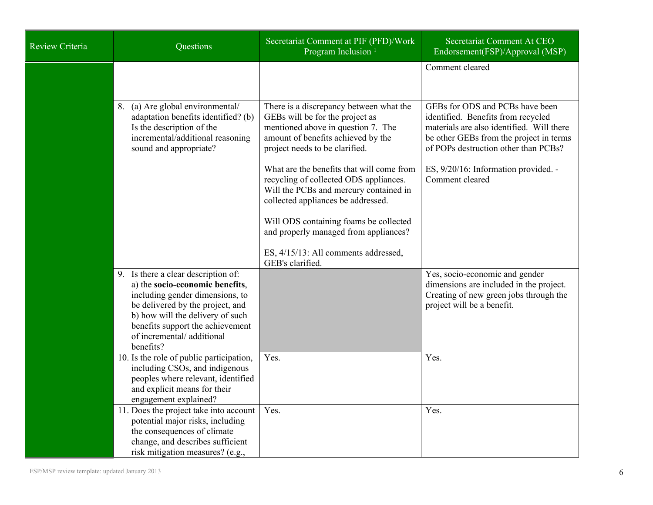| <b>Review Criteria</b> | Questions                                                                                                                                                                                                                                                       | Secretariat Comment at PIF (PFD)/Work<br>Program Inclusion <sup>1</sup>                                                                                                                  | Secretariat Comment At CEO<br>Endorsement(FSP)/Approval (MSP)                                                                                                                                         |
|------------------------|-----------------------------------------------------------------------------------------------------------------------------------------------------------------------------------------------------------------------------------------------------------------|------------------------------------------------------------------------------------------------------------------------------------------------------------------------------------------|-------------------------------------------------------------------------------------------------------------------------------------------------------------------------------------------------------|
|                        |                                                                                                                                                                                                                                                                 |                                                                                                                                                                                          | Comment cleared                                                                                                                                                                                       |
|                        | 8. (a) Are global environmental/<br>adaptation benefits identified? (b)<br>Is the description of the<br>incremental/additional reasoning<br>sound and appropriate?                                                                                              | There is a discrepancy between what the<br>GEBs will be for the project as<br>mentioned above in question 7. The<br>amount of benefits achieved by the<br>project needs to be clarified. | GEBs for ODS and PCBs have been<br>identified. Benefits from recycled<br>materials are also identified. Will there<br>be other GEBs from the project in terms<br>of POPs destruction other than PCBs? |
|                        |                                                                                                                                                                                                                                                                 | What are the benefits that will come from<br>recycling of collected ODS appliances.<br>Will the PCBs and mercury contained in<br>collected appliances be addressed.                      | ES, 9/20/16: Information provided. -<br>Comment cleared                                                                                                                                               |
|                        |                                                                                                                                                                                                                                                                 | Will ODS containing foams be collected<br>and properly managed from appliances?                                                                                                          |                                                                                                                                                                                                       |
|                        |                                                                                                                                                                                                                                                                 | ES, 4/15/13: All comments addressed,<br>GEB's clarified.                                                                                                                                 |                                                                                                                                                                                                       |
|                        | 9. Is there a clear description of:<br>a) the socio-economic benefits,<br>including gender dimensions, to<br>be delivered by the project, and<br>b) how will the delivery of such<br>benefits support the achievement<br>of incremental/additional<br>benefits? |                                                                                                                                                                                          | Yes, socio-economic and gender<br>dimensions are included in the project.<br>Creating of new green jobs through the<br>project will be a benefit.                                                     |
|                        | 10. Is the role of public participation,<br>including CSOs, and indigenous<br>peoples where relevant, identified<br>and explicit means for their<br>engagement explained?                                                                                       | Yes.                                                                                                                                                                                     | Yes.                                                                                                                                                                                                  |
|                        | 11. Does the project take into account<br>potential major risks, including<br>the consequences of climate<br>change, and describes sufficient<br>risk mitigation measures? (e.g.,                                                                               | Yes.                                                                                                                                                                                     | Yes.                                                                                                                                                                                                  |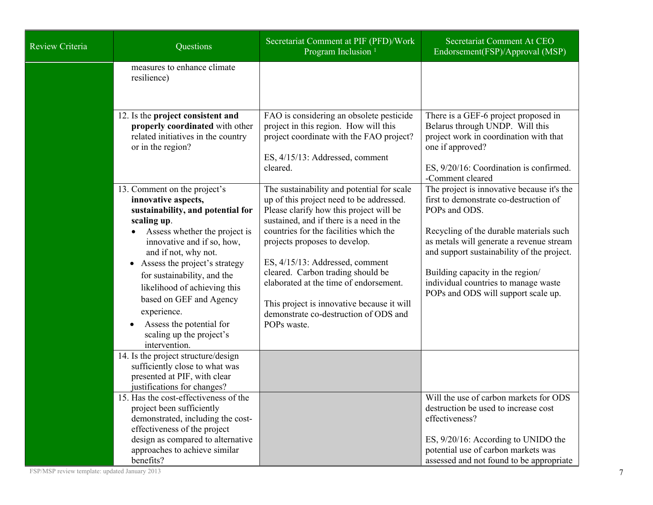| <b>Review Criteria</b> | Questions                                                                                                                                                                                                                                                                                                                                                                                                                      | Secretariat Comment at PIF (PFD)/Work<br>Program Inclusion <sup>1</sup>                                                                                                                                                                                                                                                                                                                                                                                                          | Secretariat Comment At CEO<br>Endorsement(FSP)/Approval (MSP)                                                                                                                                                                                                                                                                                                 |
|------------------------|--------------------------------------------------------------------------------------------------------------------------------------------------------------------------------------------------------------------------------------------------------------------------------------------------------------------------------------------------------------------------------------------------------------------------------|----------------------------------------------------------------------------------------------------------------------------------------------------------------------------------------------------------------------------------------------------------------------------------------------------------------------------------------------------------------------------------------------------------------------------------------------------------------------------------|---------------------------------------------------------------------------------------------------------------------------------------------------------------------------------------------------------------------------------------------------------------------------------------------------------------------------------------------------------------|
|                        | measures to enhance climate<br>resilience)                                                                                                                                                                                                                                                                                                                                                                                     |                                                                                                                                                                                                                                                                                                                                                                                                                                                                                  |                                                                                                                                                                                                                                                                                                                                                               |
|                        | 12. Is the project consistent and<br>properly coordinated with other<br>related initiatives in the country<br>or in the region?                                                                                                                                                                                                                                                                                                | FAO is considering an obsolete pesticide<br>project in this region. How will this<br>project coordinate with the FAO project?<br>ES, 4/15/13: Addressed, comment<br>cleared.                                                                                                                                                                                                                                                                                                     | There is a GEF-6 project proposed in<br>Belarus through UNDP. Will this<br>project work in coordination with that<br>one if approved?<br>ES, 9/20/16: Coordination is confirmed.<br>-Comment cleared                                                                                                                                                          |
|                        | 13. Comment on the project's<br>innovative aspects,<br>sustainability, and potential for<br>scaling up.<br>Assess whether the project is<br>innovative and if so, how,<br>and if not, why not.<br>Assess the project's strategy<br>$\bullet$<br>for sustainability, and the<br>likelihood of achieving this<br>based on GEF and Agency<br>experience.<br>Assess the potential for<br>scaling up the project's<br>intervention. | The sustainability and potential for scale<br>up of this project need to be addressed.<br>Please clarify how this project will be<br>sustained, and if there is a need in the<br>countries for the facilities which the<br>projects proposes to develop.<br>ES, 4/15/13: Addressed, comment<br>cleared. Carbon trading should be<br>elaborated at the time of endorsement.<br>This project is innovative because it will<br>demonstrate co-destruction of ODS and<br>POPs waste. | The project is innovative because it's the<br>first to demonstrate co-destruction of<br>POPs and ODS.<br>Recycling of the durable materials such<br>as metals will generate a revenue stream<br>and support sustainability of the project.<br>Building capacity in the region/<br>individual countries to manage waste<br>POPs and ODS will support scale up. |
|                        | 14. Is the project structure/design<br>sufficiently close to what was<br>presented at PIF, with clear<br>justifications for changes?                                                                                                                                                                                                                                                                                           |                                                                                                                                                                                                                                                                                                                                                                                                                                                                                  |                                                                                                                                                                                                                                                                                                                                                               |
|                        | 15. Has the cost-effectiveness of the<br>project been sufficiently<br>demonstrated, including the cost-<br>effectiveness of the project<br>design as compared to alternative<br>approaches to achieve similar<br>benefits?                                                                                                                                                                                                     |                                                                                                                                                                                                                                                                                                                                                                                                                                                                                  | Will the use of carbon markets for ODS<br>destruction be used to increase cost<br>effectiveness?<br>ES, 9/20/16: According to UNIDO the<br>potential use of carbon markets was<br>assessed and not found to be appropriate                                                                                                                                    |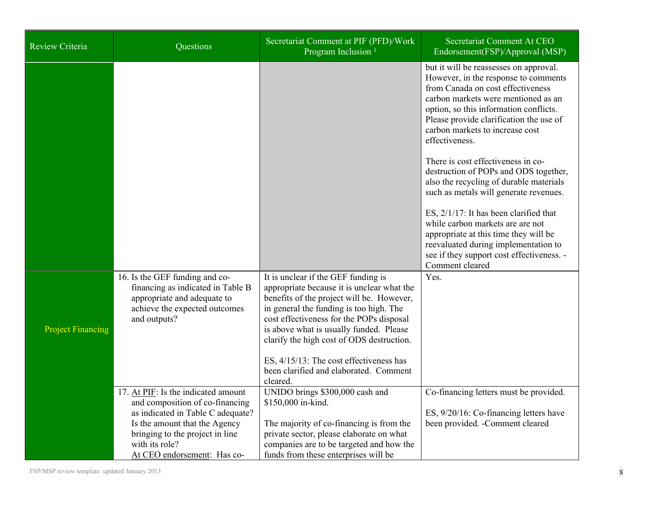| Review Criteria          | Questions                                                                                                                                                                                                                        | Secretariat Comment at PIF (PFD)/Work<br>Program Inclusion <sup>1</sup>                                                                                                                                                                                                                                                                                                                                        | Secretariat Comment At CEO<br>Endorsement(FSP)/Approval (MSP)                                                                                                                                                                                                                                                                                                                                                                                                                                                                                                                                                                                                                                           |
|--------------------------|----------------------------------------------------------------------------------------------------------------------------------------------------------------------------------------------------------------------------------|----------------------------------------------------------------------------------------------------------------------------------------------------------------------------------------------------------------------------------------------------------------------------------------------------------------------------------------------------------------------------------------------------------------|---------------------------------------------------------------------------------------------------------------------------------------------------------------------------------------------------------------------------------------------------------------------------------------------------------------------------------------------------------------------------------------------------------------------------------------------------------------------------------------------------------------------------------------------------------------------------------------------------------------------------------------------------------------------------------------------------------|
|                          |                                                                                                                                                                                                                                  |                                                                                                                                                                                                                                                                                                                                                                                                                | but it will be reassesses on approval.<br>However, in the response to comments<br>from Canada on cost effectiveness<br>carbon markets were mentioned as an<br>option, so this information conflicts.<br>Please provide clarification the use of<br>carbon markets to increase cost<br>effectiveness.<br>There is cost effectiveness in co-<br>destruction of POPs and ODS together,<br>also the recycling of durable materials<br>such as metals will generate revenues.<br>ES, 2/1/17: It has been clarified that<br>while carbon markets are are not<br>appropriate at this time they will be<br>reevaluated during implementation to<br>see if they support cost effectiveness. -<br>Comment cleared |
| <b>Project Financing</b> | 16. Is the GEF funding and co-<br>financing as indicated in Table B<br>appropriate and adequate to<br>achieve the expected outcomes<br>and outputs?                                                                              | It is unclear if the GEF funding is<br>appropriate because it is unclear what the<br>benefits of the project will be. However,<br>in general the funding is too high. The<br>cost effectiveness for the POPs disposal<br>is above what is usually funded. Please<br>clarify the high cost of ODS destruction.<br>ES, 4/15/13: The cost effectiveness has<br>been clarified and elaborated. Comment<br>cleared. | Yes.                                                                                                                                                                                                                                                                                                                                                                                                                                                                                                                                                                                                                                                                                                    |
|                          | 17. At PIF: Is the indicated amount<br>and composition of co-financing<br>as indicated in Table C adequate?<br>Is the amount that the Agency<br>bringing to the project in line<br>with its role?<br>At CEO endorsement: Has co- | UNIDO brings \$300,000 cash and<br>\$150,000 in-kind.<br>The majority of co-financing is from the<br>private sector, please elaborate on what<br>companies are to be targeted and how the<br>funds from these enterprises will be                                                                                                                                                                              | Co-financing letters must be provided.<br>ES, 9/20/16: Co-financing letters have<br>been provided. - Comment cleared                                                                                                                                                                                                                                                                                                                                                                                                                                                                                                                                                                                    |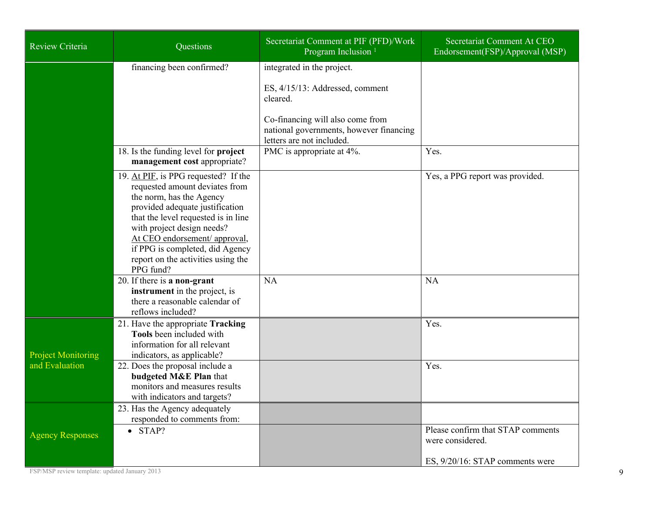| Review Criteria                             | Questions                                                                                                                                                                                                                                                                                                                         | Secretariat Comment at PIF (PFD)/Work<br>Program Inclusion <sup>1</sup>                                                                                                               | Secretariat Comment At CEO<br>Endorsement(FSP)/Approval (MSP)                            |
|---------------------------------------------|-----------------------------------------------------------------------------------------------------------------------------------------------------------------------------------------------------------------------------------------------------------------------------------------------------------------------------------|---------------------------------------------------------------------------------------------------------------------------------------------------------------------------------------|------------------------------------------------------------------------------------------|
|                                             | financing been confirmed?                                                                                                                                                                                                                                                                                                         | integrated in the project.<br>ES, 4/15/13: Addressed, comment<br>cleared.<br>Co-financing will also come from<br>national governments, however financing<br>letters are not included. |                                                                                          |
|                                             | 18. Is the funding level for project<br>management cost appropriate?                                                                                                                                                                                                                                                              | PMC is appropriate at 4%.                                                                                                                                                             | Yes.                                                                                     |
|                                             | 19. At PIF, is PPG requested? If the<br>requested amount deviates from<br>the norm, has the Agency<br>provided adequate justification<br>that the level requested is in line<br>with project design needs?<br>At CEO endorsement/ approval,<br>if PPG is completed, did Agency<br>report on the activities using the<br>PPG fund? |                                                                                                                                                                                       | Yes, a PPG report was provided.                                                          |
|                                             | 20. If there is a non-grant<br>instrument in the project, is<br>there a reasonable calendar of<br>reflows included?                                                                                                                                                                                                               | <b>NA</b>                                                                                                                                                                             | <b>NA</b>                                                                                |
| <b>Project Monitoring</b><br>and Evaluation | 21. Have the appropriate Tracking<br>Tools been included with<br>information for all relevant<br>indicators, as applicable?<br>22. Does the proposal include a                                                                                                                                                                    |                                                                                                                                                                                       | Yes.<br>Yes.                                                                             |
|                                             | budgeted M&E Plan that<br>monitors and measures results<br>with indicators and targets?                                                                                                                                                                                                                                           |                                                                                                                                                                                       |                                                                                          |
| <b>Agency Responses</b>                     | 23. Has the Agency adequately<br>responded to comments from:<br>$\bullet$ STAP?                                                                                                                                                                                                                                                   |                                                                                                                                                                                       | Please confirm that STAP comments<br>were considered.<br>ES, 9/20/16: STAP comments were |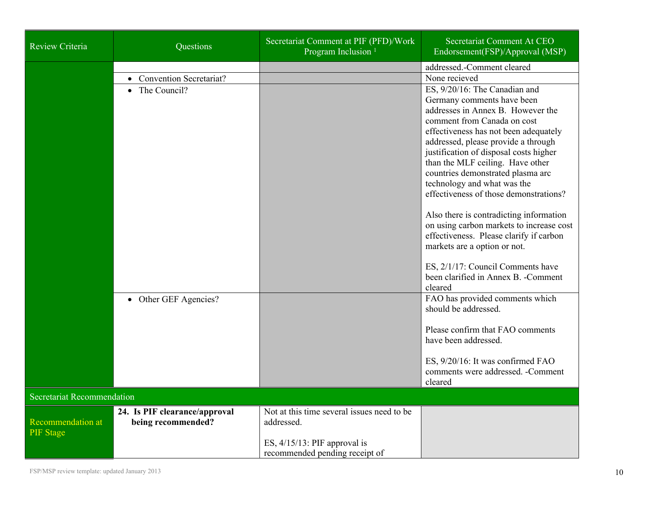| <b>Review Criteria</b>                       | Questions                                           | Secretariat Comment at PIF (PFD)/Work<br>Program Inclusion <sup>1</sup>                                                       | Secretariat Comment At CEO<br>Endorsement(FSP)/Approval (MSP)                                                                                                                                                                                                                                                                                                                                                                                                                                                                                                                                                                |
|----------------------------------------------|-----------------------------------------------------|-------------------------------------------------------------------------------------------------------------------------------|------------------------------------------------------------------------------------------------------------------------------------------------------------------------------------------------------------------------------------------------------------------------------------------------------------------------------------------------------------------------------------------------------------------------------------------------------------------------------------------------------------------------------------------------------------------------------------------------------------------------------|
|                                              | • Convention Secretariat?<br>• The Council?         |                                                                                                                               | addressed.-Comment cleared<br>None recieved<br>ES, 9/20/16: The Canadian and<br>Germany comments have been<br>addresses in Annex B. However the<br>comment from Canada on cost<br>effectiveness has not been adequately<br>addressed, please provide a through<br>justification of disposal costs higher<br>than the MLF ceiling. Have other<br>countries demonstrated plasma arc<br>technology and what was the<br>effectiveness of those demonstrations?<br>Also there is contradicting information<br>on using carbon markets to increase cost<br>effectiveness. Please clarify if carbon<br>markets are a option or not. |
|                                              |                                                     |                                                                                                                               | ES, 2/1/17: Council Comments have<br>been clarified in Annex B. - Comment<br>cleared                                                                                                                                                                                                                                                                                                                                                                                                                                                                                                                                         |
|                                              | • Other GEF Agencies?                               |                                                                                                                               | FAO has provided comments which<br>should be addressed.<br>Please confirm that FAO comments<br>have been addressed.<br>ES, 9/20/16: It was confirmed FAO<br>comments were addressed. - Comment<br>cleared                                                                                                                                                                                                                                                                                                                                                                                                                    |
| Secretariat Recommendation                   |                                                     |                                                                                                                               |                                                                                                                                                                                                                                                                                                                                                                                                                                                                                                                                                                                                                              |
| <b>Recommendation at</b><br><b>PIF</b> Stage | 24. Is PIF clearance/approval<br>being recommended? | Not at this time several issues need to be<br>addressed.<br>ES, $4/15/13$ : PIF approval is<br>recommended pending receipt of |                                                                                                                                                                                                                                                                                                                                                                                                                                                                                                                                                                                                                              |